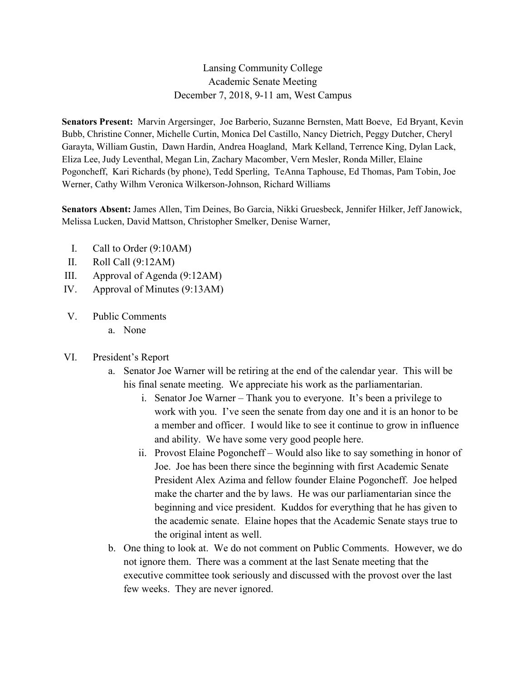# Lansing Community College Academic Senate Meeting December 7, 2018, 9-11 am, West Campus

**Senators Present:** Marvin Argersinger, Joe Barberio, Suzanne Bernsten, Matt Boeve, Ed Bryant, Kevin Bubb, Christine Conner, Michelle Curtin, Monica Del Castillo, Nancy Dietrich, Peggy Dutcher, Cheryl Garayta, William Gustin, Dawn Hardin, Andrea Hoagland, Mark Kelland, Terrence King, Dylan Lack, Eliza Lee, Judy Leventhal, Megan Lin, Zachary Macomber, Vern Mesler, Ronda Miller, Elaine Pogoncheff, Kari Richards (by phone), Tedd Sperling, TeAnna Taphouse, Ed Thomas, Pam Tobin, Joe Werner, Cathy Wilhm Veronica Wilkerson-Johnson, Richard Williams

**Senators Absent:** James Allen, Tim Deines, Bo Garcia, Nikki Gruesbeck, Jennifer Hilker, Jeff Janowick, Melissa Lucken, David Mattson, Christopher Smelker, Denise Warner,

- I. Call to Order (9:10AM)
- II. Roll Call (9:12AM)
- III. Approval of Agenda (9:12AM)
- IV. Approval of Minutes (9:13AM)
- V. Public Comments
	- a. None
- VI. President's Report
	- a. Senator Joe Warner will be retiring at the end of the calendar year. This will be his final senate meeting. We appreciate his work as the parliamentarian.
		- i. Senator Joe Warner Thank you to everyone. It's been a privilege to work with you. I've seen the senate from day one and it is an honor to be a member and officer. I would like to see it continue to grow in influence and ability. We have some very good people here.
		- ii. Provost Elaine Pogoncheff Would also like to say something in honor of Joe. Joe has been there since the beginning with first Academic Senate President Alex Azima and fellow founder Elaine Pogoncheff. Joe helped make the charter and the by laws. He was our parliamentarian since the beginning and vice president. Kuddos for everything that he has given to the academic senate. Elaine hopes that the Academic Senate stays true to the original intent as well.
	- b. One thing to look at. We do not comment on Public Comments. However, we do not ignore them. There was a comment at the last Senate meeting that the executive committee took seriously and discussed with the provost over the last few weeks. They are never ignored.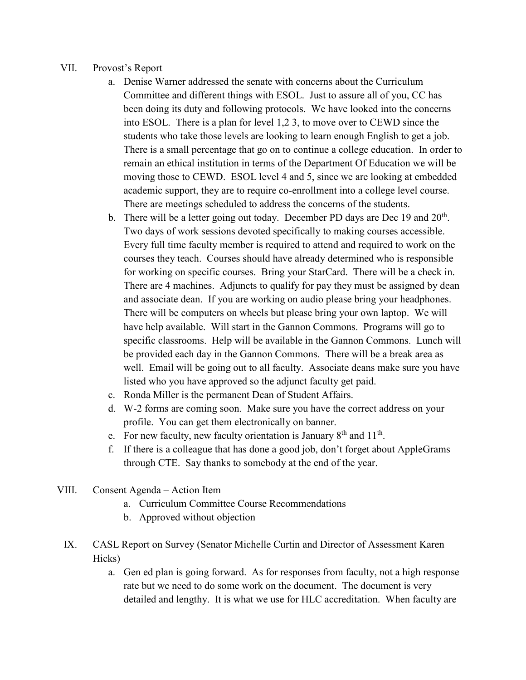## VII. Provost's Report

- a. Denise Warner addressed the senate with concerns about the Curriculum Committee and different things with ESOL. Just to assure all of you, CC has been doing its duty and following protocols. We have looked into the concerns into ESOL. There is a plan for level 1,2 3, to move over to CEWD since the students who take those levels are looking to learn enough English to get a job. There is a small percentage that go on to continue a college education. In order to remain an ethical institution in terms of the Department Of Education we will be moving those to CEWD. ESOL level 4 and 5, since we are looking at embedded academic support, they are to require co-enrollment into a college level course. There are meetings scheduled to address the concerns of the students.
- b. There will be a letter going out today. December PD days are Dec 19 and  $20<sup>th</sup>$ . Two days of work sessions devoted specifically to making courses accessible. Every full time faculty member is required to attend and required to work on the courses they teach. Courses should have already determined who is responsible for working on specific courses. Bring your StarCard. There will be a check in. There are 4 machines. Adjuncts to qualify for pay they must be assigned by dean and associate dean. If you are working on audio please bring your headphones. There will be computers on wheels but please bring your own laptop. We will have help available. Will start in the Gannon Commons. Programs will go to specific classrooms. Help will be available in the Gannon Commons. Lunch will be provided each day in the Gannon Commons. There will be a break area as well. Email will be going out to all faculty. Associate deans make sure you have listed who you have approved so the adjunct faculty get paid.
- c. Ronda Miller is the permanent Dean of Student Affairs.
- d. W-2 forms are coming soon. Make sure you have the correct address on your profile. You can get them electronically on banner.
- e. For new faculty, new faculty orientation is January  $8<sup>th</sup>$  and  $11<sup>th</sup>$ .
- f. If there is a colleague that has done a good job, don't forget about AppleGrams through CTE. Say thanks to somebody at the end of the year.
- VIII. Consent Agenda Action Item
	- a. Curriculum Committee Course Recommendations
	- b. Approved without objection
	- IX. CASL Report on Survey (Senator Michelle Curtin and Director of Assessment Karen Hicks)
		- a. Gen ed plan is going forward. As for responses from faculty, not a high response rate but we need to do some work on the document. The document is very detailed and lengthy. It is what we use for HLC accreditation. When faculty are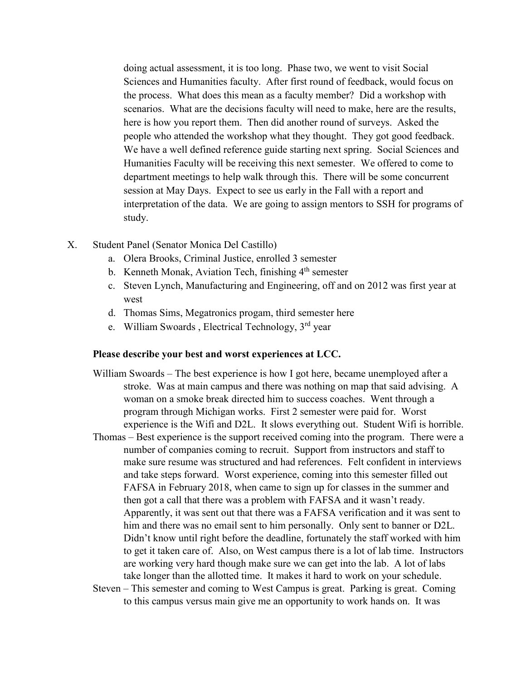doing actual assessment, it is too long. Phase two, we went to visit Social Sciences and Humanities faculty. After first round of feedback, would focus on the process. What does this mean as a faculty member? Did a workshop with scenarios. What are the decisions faculty will need to make, here are the results, here is how you report them. Then did another round of surveys. Asked the people who attended the workshop what they thought. They got good feedback. We have a well defined reference guide starting next spring. Social Sciences and Humanities Faculty will be receiving this next semester. We offered to come to department meetings to help walk through this. There will be some concurrent session at May Days. Expect to see us early in the Fall with a report and interpretation of the data. We are going to assign mentors to SSH for programs of study.

- X. Student Panel (Senator Monica Del Castillo)
	- a. Olera Brooks, Criminal Justice, enrolled 3 semester
	- b. Kenneth Monak, Aviation Tech, finishing  $4<sup>th</sup>$  semester
	- c. Steven Lynch, Manufacturing and Engineering, off and on 2012 was first year at west
	- d. Thomas Sims, Megatronics progam, third semester here
	- e. William Swoards , Electrical Technology, 3rd year

### **Please describe your best and worst experiences at LCC.**

- William Swoards The best experience is how I got here, became unemployed after a stroke. Was at main campus and there was nothing on map that said advising. A woman on a smoke break directed him to success coaches. Went through a program through Michigan works. First 2 semester were paid for. Worst experience is the Wifi and D2L. It slows everything out. Student Wifi is horrible.
- Thomas Best experience is the support received coming into the program. There were a number of companies coming to recruit. Support from instructors and staff to make sure resume was structured and had references. Felt confident in interviews and take steps forward. Worst experience, coming into this semester filled out FAFSA in February 2018, when came to sign up for classes in the summer and then got a call that there was a problem with FAFSA and it wasn't ready. Apparently, it was sent out that there was a FAFSA verification and it was sent to him and there was no email sent to him personally. Only sent to banner or D2L. Didn't know until right before the deadline, fortunately the staff worked with him to get it taken care of. Also, on West campus there is a lot of lab time. Instructors are working very hard though make sure we can get into the lab. A lot of labs take longer than the allotted time. It makes it hard to work on your schedule.
- Steven This semester and coming to West Campus is great. Parking is great. Coming to this campus versus main give me an opportunity to work hands on. It was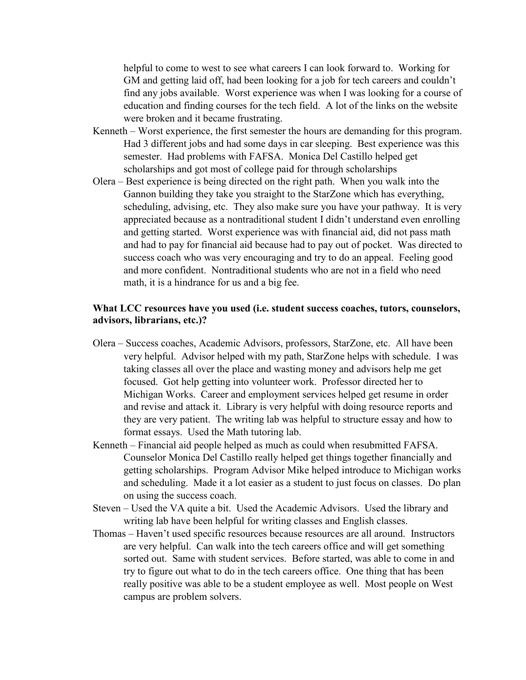helpful to come to west to see what careers I can look forward to. Working for GM and getting laid off, had been looking for a job for tech careers and couldn't find any jobs available. Worst experience was when I was looking for a course of education and finding courses for the tech field. A lot of the links on the website were broken and it became frustrating.

- Kenneth Worst experience, the first semester the hours are demanding for this program. Had 3 different jobs and had some days in car sleeping. Best experience was this semester. Had problems with FAFSA. Monica Del Castillo helped get scholarships and got most of college paid for through scholarships
- Olera Best experience is being directed on the right path. When you walk into the Gannon building they take you straight to the StarZone which has everything, scheduling, advising, etc. They also make sure you have your pathway. It is very appreciated because as a nontraditional student I didn't understand even enrolling and getting started. Worst experience was with financial aid, did not pass math and had to pay for financial aid because had to pay out of pocket. Was directed to success coach who was very encouraging and try to do an appeal. Feeling good and more confident. Nontraditional students who are not in a field who need math, it is a hindrance for us and a big fee.

## **What LCC resources have you used (i.e. student success coaches, tutors, counselors, advisors, librarians, etc.)?**

- Olera Success coaches, Academic Advisors, professors, StarZone, etc. All have been very helpful. Advisor helped with my path, StarZone helps with schedule. I was taking classes all over the place and wasting money and advisors help me get focused. Got help getting into volunteer work. Professor directed her to Michigan Works. Career and employment services helped get resume in order and revise and attack it. Library is very helpful with doing resource reports and they are very patient. The writing lab was helpful to structure essay and how to format essays. Used the Math tutoring lab.
- Kenneth Financial aid people helped as much as could when resubmitted FAFSA. Counselor Monica Del Castillo really helped get things together financially and getting scholarships. Program Advisor Mike helped introduce to Michigan works and scheduling. Made it a lot easier as a student to just focus on classes. Do plan on using the success coach.
- Steven Used the VA quite a bit. Used the Academic Advisors. Used the library and writing lab have been helpful for writing classes and English classes.
- Thomas Haven't used specific resources because resources are all around. Instructors are very helpful. Can walk into the tech careers office and will get something sorted out. Same with student services. Before started, was able to come in and try to figure out what to do in the tech careers office. One thing that has been really positive was able to be a student employee as well. Most people on West campus are problem solvers.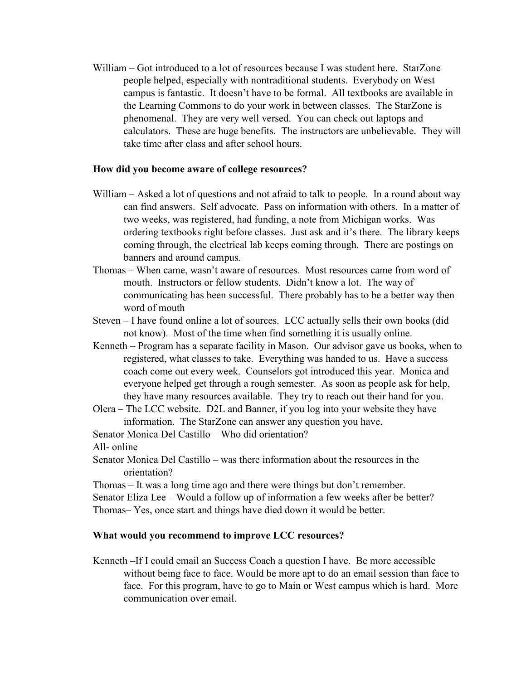William – Got introduced to a lot of resources because I was student here. StarZone people helped, especially with nontraditional students. Everybody on West campus is fantastic. It doesn't have to be formal. All textbooks are available in the Learning Commons to do your work in between classes. The StarZone is phenomenal. They are very well versed. You can check out laptops and calculators. These are huge benefits. The instructors are unbelievable. They will take time after class and after school hours.

### **How did you become aware of college resources?**

- William Asked a lot of questions and not afraid to talk to people. In a round about way can find answers. Self advocate. Pass on information with others. In a matter of two weeks, was registered, had funding, a note from Michigan works. Was ordering textbooks right before classes. Just ask and it's there. The library keeps coming through, the electrical lab keeps coming through. There are postings on banners and around campus.
- Thomas When came, wasn't aware of resources. Most resources came from word of mouth. Instructors or fellow students. Didn't know a lot. The way of communicating has been successful. There probably has to be a better way then word of mouth
- Steven I have found online a lot of sources. LCC actually sells their own books (did not know). Most of the time when find something it is usually online.
- Kenneth Program has a separate facility in Mason. Our advisor gave us books, when to registered, what classes to take. Everything was handed to us. Have a success coach come out every week. Counselors got introduced this year. Monica and everyone helped get through a rough semester. As soon as people ask for help, they have many resources available. They try to reach out their hand for you.
- Olera The LCC website. D2L and Banner, if you log into your website they have information. The StarZone can answer any question you have.

Senator Monica Del Castillo – Who did orientation?

All- online

Senator Monica Del Castillo – was there information about the resources in the orientation?

Thomas – It was a long time ago and there were things but don't remember.

Senator Eliza Lee – Would a follow up of information a few weeks after be better? Thomas– Yes, once start and things have died down it would be better.

## **What would you recommend to improve LCC resources?**

Kenneth –If I could email an Success Coach a question I have. Be more accessible without being face to face. Would be more apt to do an email session than face to face. For this program, have to go to Main or West campus which is hard. More communication over email.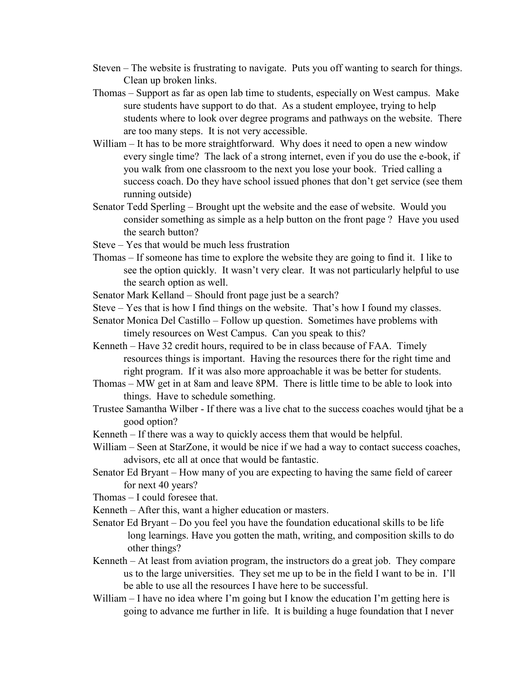- Steven The website is frustrating to navigate. Puts you off wanting to search for things. Clean up broken links.
- Thomas Support as far as open lab time to students, especially on West campus. Make sure students have support to do that. As a student employee, trying to help students where to look over degree programs and pathways on the website. There are too many steps. It is not very accessible.
- William It has to be more straightforward. Why does it need to open a new window every single time? The lack of a strong internet, even if you do use the e-book, if you walk from one classroom to the next you lose your book. Tried calling a success coach. Do they have school issued phones that don't get service (see them running outside)
- Senator Tedd Sperling Brought upt the website and the ease of website. Would you consider something as simple as a help button on the front page ? Have you used the search button?
- Steve Yes that would be much less frustration
- Thomas If someone has time to explore the website they are going to find it. I like to see the option quickly. It wasn't very clear. It was not particularly helpful to use the search option as well.
- Senator Mark Kelland Should front page just be a search?
- Steve Yes that is how I find things on the website. That's how I found my classes.
- Senator Monica Del Castillo Follow up question. Sometimes have problems with timely resources on West Campus. Can you speak to this?
- Kenneth Have 32 credit hours, required to be in class because of FAA. Timely resources things is important. Having the resources there for the right time and right program. If it was also more approachable it was be better for students.
- Thomas MW get in at 8am and leave 8PM. There is little time to be able to look into things. Have to schedule something.
- Trustee Samantha Wilber If there was a live chat to the success coaches would tjhat be a good option?
- Kenneth If there was a way to quickly access them that would be helpful.
- William Seen at StarZone, it would be nice if we had a way to contact success coaches, advisors, etc all at once that would be fantastic.
- Senator Ed Bryant How many of you are expecting to having the same field of career for next 40 years?
- Thomas I could foresee that.
- Kenneth After this, want a higher education or masters.
- Senator Ed Bryant Do you feel you have the foundation educational skills to be life long learnings. Have you gotten the math, writing, and composition skills to do other things?
- Kenneth At least from aviation program, the instructors do a great job. They compare us to the large universities. They set me up to be in the field I want to be in. I'll be able to use all the resources I have here to be successful.
- William I have no idea where I'm going but I know the education I'm getting here is going to advance me further in life. It is building a huge foundation that I never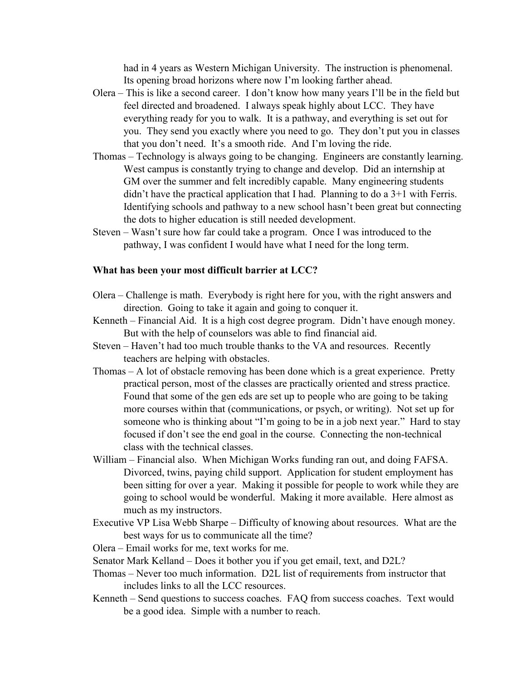had in 4 years as Western Michigan University. The instruction is phenomenal. Its opening broad horizons where now I'm looking farther ahead.

- Olera This is like a second career. I don't know how many years I'll be in the field but feel directed and broadened. I always speak highly about LCC. They have everything ready for you to walk. It is a pathway, and everything is set out for you. They send you exactly where you need to go. They don't put you in classes that you don't need. It's a smooth ride. And I'm loving the ride.
- Thomas Technology is always going to be changing. Engineers are constantly learning. West campus is constantly trying to change and develop. Did an internship at GM over the summer and felt incredibly capable. Many engineering students didn't have the practical application that I had. Planning to do a 3+1 with Ferris. Identifying schools and pathway to a new school hasn't been great but connecting the dots to higher education is still needed development.
- Steven Wasn't sure how far could take a program. Once I was introduced to the pathway, I was confident I would have what I need for the long term.

#### **What has been your most difficult barrier at LCC?**

- Olera Challenge is math. Everybody is right here for you, with the right answers and direction. Going to take it again and going to conquer it.
- Kenneth Financial Aid. It is a high cost degree program. Didn't have enough money. But with the help of counselors was able to find financial aid.
- Steven Haven't had too much trouble thanks to the VA and resources. Recently teachers are helping with obstacles.
- Thomas A lot of obstacle removing has been done which is a great experience. Pretty practical person, most of the classes are practically oriented and stress practice. Found that some of the gen eds are set up to people who are going to be taking more courses within that (communications, or psych, or writing). Not set up for someone who is thinking about "I'm going to be in a job next year." Hard to stay focused if don't see the end goal in the course. Connecting the non-technical class with the technical classes.
- William Financial also. When Michigan Works funding ran out, and doing FAFSA. Divorced, twins, paying child support. Application for student employment has been sitting for over a year. Making it possible for people to work while they are going to school would be wonderful. Making it more available. Here almost as much as my instructors.
- Executive VP Lisa Webb Sharpe Difficulty of knowing about resources. What are the best ways for us to communicate all the time?

Olera – Email works for me, text works for me.

- Senator Mark Kelland Does it bother you if you get email, text, and D2L?
- Thomas Never too much information. D2L list of requirements from instructor that includes links to all the LCC resources.
- Kenneth Send questions to success coaches. FAQ from success coaches. Text would be a good idea. Simple with a number to reach.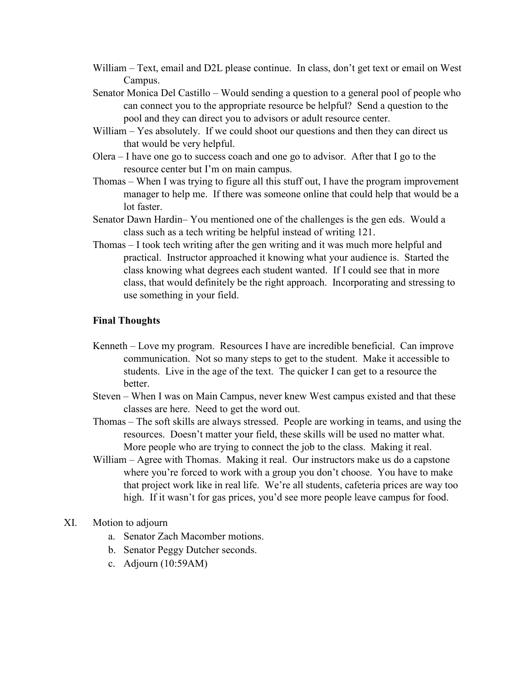- William Text, email and D2L please continue. In class, don't get text or email on West Campus.
- Senator Monica Del Castillo Would sending a question to a general pool of people who can connect you to the appropriate resource be helpful? Send a question to the pool and they can direct you to advisors or adult resource center.
- William Yes absolutely. If we could shoot our questions and then they can direct us that would be very helpful.
- Olera I have one go to success coach and one go to advisor. After that I go to the resource center but I'm on main campus.
- Thomas When I was trying to figure all this stuff out, I have the program improvement manager to help me. If there was someone online that could help that would be a lot faster.
- Senator Dawn Hardin– You mentioned one of the challenges is the gen eds. Would a class such as a tech writing be helpful instead of writing 121.
- Thomas I took tech writing after the gen writing and it was much more helpful and practical. Instructor approached it knowing what your audience is. Started the class knowing what degrees each student wanted. If I could see that in more class, that would definitely be the right approach. Incorporating and stressing to use something in your field.

## **Final Thoughts**

- Kenneth Love my program. Resources I have are incredible beneficial. Can improve communication. Not so many steps to get to the student. Make it accessible to students. Live in the age of the text. The quicker I can get to a resource the better.
- Steven When I was on Main Campus, never knew West campus existed and that these classes are here. Need to get the word out.
- Thomas The soft skills are always stressed. People are working in teams, and using the resources. Doesn't matter your field, these skills will be used no matter what. More people who are trying to connect the job to the class. Making it real.
- William Agree with Thomas. Making it real. Our instructors make us do a capstone where you're forced to work with a group you don't choose. You have to make that project work like in real life. We're all students, cafeteria prices are way too high. If it wasn't for gas prices, you'd see more people leave campus for food.
- XI. Motion to adjourn
	- a. Senator Zach Macomber motions.
	- b. Senator Peggy Dutcher seconds.
	- c. Adjourn (10:59AM)